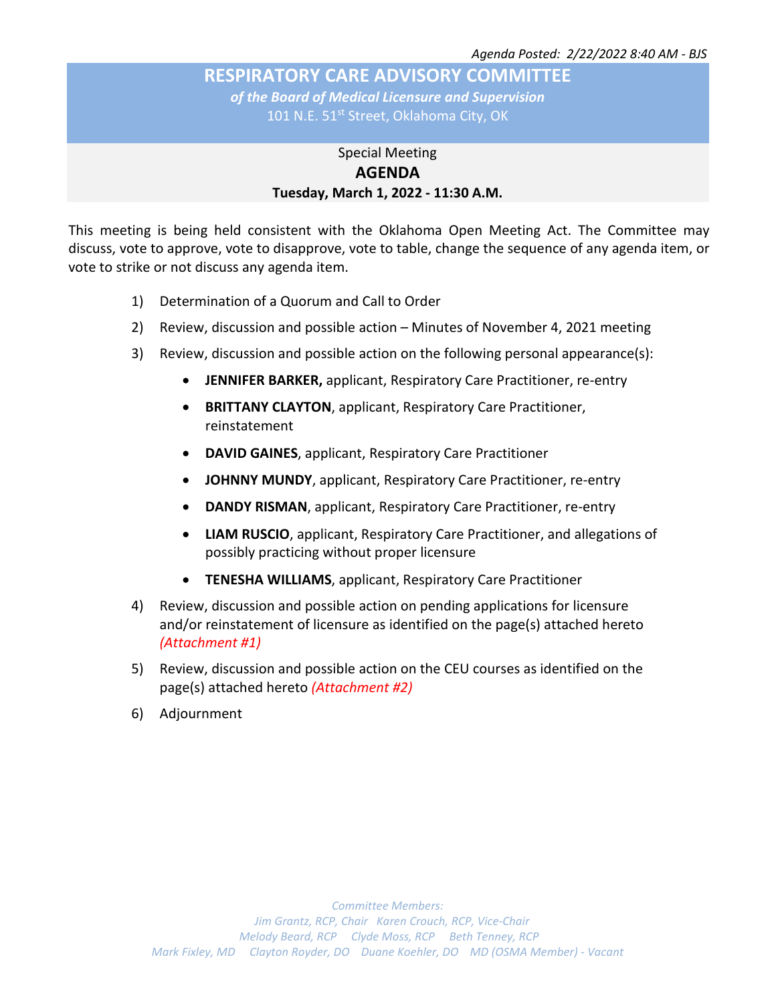# **RESPIRATORY CARE ADVISORY COMMITTEE** *of the Board of Medical Licensure and Supervision*

101 N.E. 51<sup>st</sup> Street, Oklahoma City, OK

## Special Meeting **AGENDA Tuesday, March 1, 2022 - 11:30 A.M.**

This meeting is being held consistent with the Oklahoma Open Meeting Act. The Committee may discuss, vote to approve, vote to disapprove, vote to table, change the sequence of any agenda item, or vote to strike or not discuss any agenda item.

- 1) Determination of a Quorum and Call to Order
- 2) Review, discussion and possible action Minutes of November 4, 2021 meeting
- 3) Review, discussion and possible action on the following personal appearance(s):
	- **JENNIFER BARKER,** applicant, Respiratory Care Practitioner, re-entry
	- **BRITTANY CLAYTON**, applicant, Respiratory Care Practitioner, reinstatement
	- **DAVID GAINES**, applicant, Respiratory Care Practitioner
	- **JOHNNY MUNDY**, applicant, Respiratory Care Practitioner, re-entry
	- **DANDY RISMAN**, applicant, Respiratory Care Practitioner, re-entry
	- **LIAM RUSCIO**, applicant, Respiratory Care Practitioner, and allegations of possibly practicing without proper licensure
	- **TENESHA WILLIAMS**, applicant, Respiratory Care Practitioner
- 4) Review, discussion and possible action on pending applications for licensure and/or reinstatement of licensure as identified on the page(s) attached hereto *(Attachment #1)*
- 5) Review, discussion and possible action on the CEU courses as identified on the page(s) attached hereto *(Attachment #2)*
- 6) Adjournment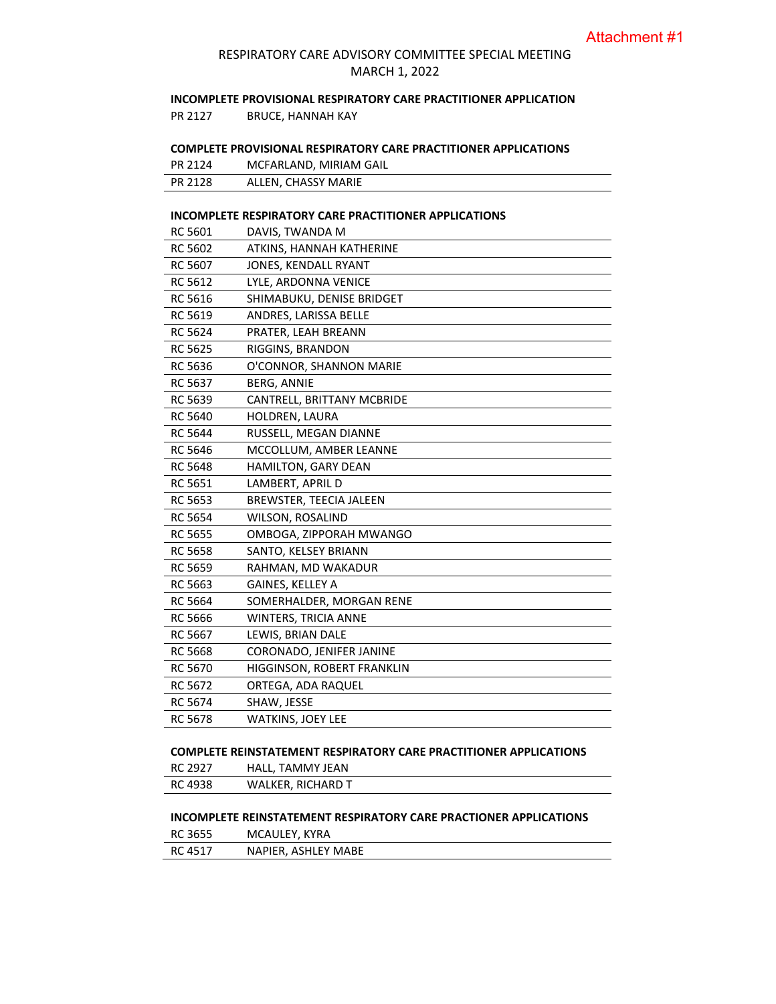### RESPIRATORY CARE ADVISORY COMMITTEE SPECIAL MEETING MARCH 1, 2022

### **INCOMPLETE PROVISIONAL RESPIRATORY CARE PRACTITIONER APPLICATION**

PR 2127 BRUCE, HANNAH KAY

### **COMPLETE PROVISIONAL RESPIRATORY CARE PRACTITIONER APPLICATIONS**

| PR 2124 | MCFARLAND, MIRIAM GAIL |
|---------|------------------------|
| PR 2128 | ALLEN, CHASSY MARIE    |

#### **INCOMPLETE RESPIRATORY CARE PRACTITIONER APPLICATIONS**

| RC 5601        | DAVIS, TWANDA M             |  |  |
|----------------|-----------------------------|--|--|
| RC 5602        | ATKINS, HANNAH KATHERINE    |  |  |
| RC 5607        | JONES, KENDALL RYANT        |  |  |
| RC 5612        | LYLE, ARDONNA VENICE        |  |  |
| RC 5616        | SHIMABUKU, DENISE BRIDGET   |  |  |
| RC 5619        | ANDRES, LARISSA BELLE       |  |  |
| RC 5624        | PRATER, LEAH BREANN         |  |  |
| RC 5625        | RIGGINS, BRANDON            |  |  |
| <b>RC 5636</b> | O'CONNOR, SHANNON MARIE     |  |  |
| RC 5637        | BERG, ANNIE                 |  |  |
| <b>RC 5639</b> | CANTRELL, BRITTANY MCBRIDE  |  |  |
| <b>RC 5640</b> | HOLDREN, LAURA              |  |  |
| RC 5644        | RUSSELL, MEGAN DIANNE       |  |  |
| <b>RC 5646</b> | MCCOLLUM, AMBER LEANNE      |  |  |
| <b>RC 5648</b> | <b>HAMILTON, GARY DEAN</b>  |  |  |
| RC 5651        | LAMBERT, APRIL D            |  |  |
| RC 5653        | BREWSTER, TEECIA JALEEN     |  |  |
| RC 5654        | WILSON, ROSALIND            |  |  |
| RC 5655        | OMBOGA, ZIPPORAH MWANGO     |  |  |
| RC 5658        | SANTO, KELSEY BRIANN        |  |  |
| <b>RC 5659</b> | RAHMAN, MD WAKADUR          |  |  |
| RC 5663        | GAINES, KELLEY A            |  |  |
| <b>RC 5664</b> | SOMERHALDER, MORGAN RENE    |  |  |
| RC 5666        | <b>WINTERS, TRICIA ANNE</b> |  |  |
| RC 5667        | LEWIS, BRIAN DALE           |  |  |
| <b>RC 5668</b> | CORONADO, JENIFER JANINE    |  |  |
| RC 5670        | HIGGINSON, ROBERT FRANKLIN  |  |  |
| RC 5672        | ORTEGA, ADA RAQUEL          |  |  |
| RC 5674        | SHAW, JESSE                 |  |  |
| <b>RC 5678</b> | <b>WATKINS, JOEY LEE</b>    |  |  |

#### **COMPLETE REINSTATEMENT RESPIRATORY CARE PRACTITIONER APPLICATIONS**

| RC 2927 | HALL, TAMMY JEAN         |
|---------|--------------------------|
| RC 4938 | <b>WALKER, RICHARD T</b> |

### **INCOMPLETE REINSTATEMENT RESPIRATORY CARE PRACTIONER APPLICATIONS**

| RC 3655 | MCAULEY, KYRA       |
|---------|---------------------|
| RC 4517 | NAPIER, ASHLEY MABE |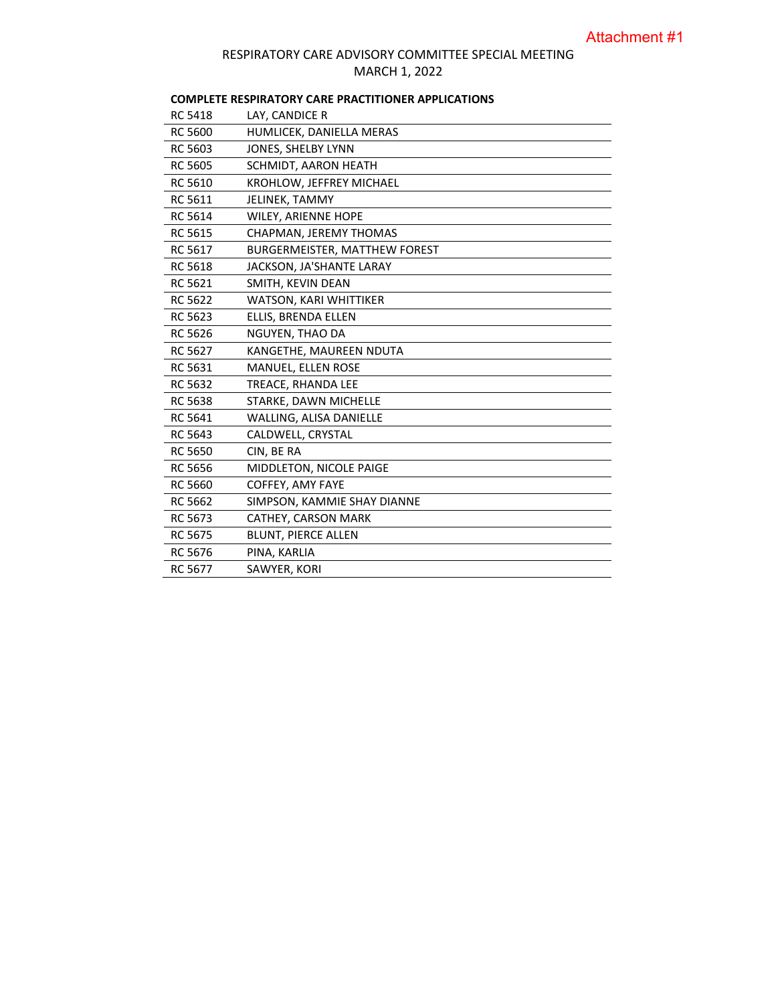## RESPIRATORY CARE ADVISORY COMMITTEE SPECIAL MEETING MARCH 1, 2022

## **COMPLETE RESPIRATORY CARE PRACTITIONER APPLICATIONS**

| <b>RC 5418</b> | LAY, CANDICE R                |
|----------------|-------------------------------|
| <b>RC 5600</b> | HUMLICEK, DANIELLA MERAS      |
| RC 5603        | JONES, SHELBY LYNN            |
| <b>RC 5605</b> | SCHMIDT, AARON HEATH          |
| <b>RC 5610</b> | KROHLOW, JEFFREY MICHAEL      |
| RC 5611        | JELINEK, TAMMY                |
| RC 5614        | WILEY, ARIENNE HOPE           |
| <b>RC 5615</b> | CHAPMAN, JEREMY THOMAS        |
| RC 5617        | BURGERMEISTER, MATTHEW FOREST |
| <b>RC 5618</b> | JACKSON, JA'SHANTE LARAY      |
| RC 5621        | SMITH, KEVIN DEAN             |
| <b>RC 5622</b> | WATSON, KARI WHITTIKER        |
| RC 5623        | ELLIS, BRENDA ELLEN           |
| <b>RC 5626</b> | NGUYEN, THAO DA               |
| RC 5627        | KANGETHE, MAUREEN NDUTA       |
| RC 5631        | MANUEL, ELLEN ROSE            |
| RC 5632        | TREACE, RHANDA LEE            |
| <b>RC 5638</b> | STARKE, DAWN MICHELLE         |
| RC 5641        | WALLING, ALISA DANIELLE       |
| RC 5643        | CALDWELL, CRYSTAL             |
| <b>RC 5650</b> | CIN, BE RA                    |
| RC 5656        | MIDDLETON, NICOLE PAIGE       |
| <b>RC 5660</b> | COFFEY, AMY FAYE              |
| RC 5662        | SIMPSON, KAMMIE SHAY DIANNE   |
| RC 5673        | CATHEY, CARSON MARK           |
| <b>RC 5675</b> | <b>BLUNT, PIERCE ALLEN</b>    |
| RC 5676        | PINA, KARLIA                  |
| <b>RC 5677</b> | SAWYER, KORI                  |